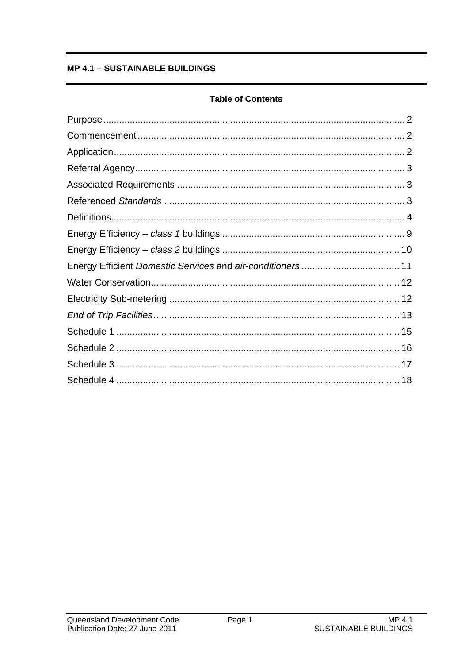# **MP 4.1 - SUSTAINABLE BUILDINGS**

# **Table of Contents**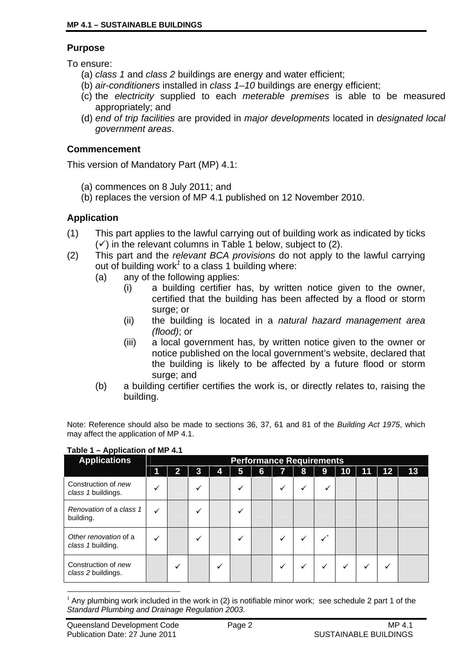#### **Purpose**

To ensure:

- (a) *class 1* and *class 2* buildings are energy and water efficient;
- (b) *air-conditioners* installed in *class 1–10* buildings are energy efficient;
- (c) the *electricity* supplied to each *meterable premises* is able to be measured appropriately; and
- (d) *end of trip facilities* are provided in *major developments* located in *designated local government areas*.

#### **Commencement**

This version of Mandatory Part (MP) 4.1:

- (a) commences on 8 July 2011; and
- (b) replaces the version of MP 4.1 published on 12 November 2010.

# **Application**

- (1) This part applies to the lawful carrying out of building work as indicated by ticks  $(\checkmark)$  in the relevant columns in Table 1 below, subject to (2).
- (2) This part and the *relevant BCA provisions* do not apply to the lawful carrying out of building work<sup>1</sup> to a class 1 building where:
	- (a) any of the following applies:
		- (i) a building certifier has, by written notice given to the owner, certified that the building has been affected by a flood or storm surge; or
		- (ii) the building is located in a *natural hazard management area (flood)*; or
		- (iii) a local government has, by written notice given to the owner or notice published on the local government's website, declared that the building is likely to be affected by a future flood or storm surge; and
	- (b) a building certifier certifies the work is, or directly relates to, raising the building.

Note: Reference should also be made to sections 36, 37, 61 and 81 of the *Building Act 1975*, which may affect the application of MP 4.1.

| . .<br><b>Applications</b>                 |   | <b>Performance Requirements</b> |  |   |   |   |   |   |   |    |    |    |    |
|--------------------------------------------|---|---------------------------------|--|---|---|---|---|---|---|----|----|----|----|
|                                            |   |                                 |  | 4 | 5 | 6 |   | 8 | 9 | 10 | 11 | 12 | 13 |
| Construction of new<br>class 1 buildings.  |   |                                 |  |   | ✓ |   | v |   |   |    |    |    |    |
| Renovation of a class 1<br>building.       | ✓ |                                 |  |   |   |   |   |   |   |    |    |    |    |
| Other renovation of a<br>class 1 building. | ✓ |                                 |  |   |   |   | v |   |   |    |    |    |    |
| Construction of new<br>class 2 buildings.  |   |                                 |  |   |   |   | ✔ |   |   | ✓  | ✓  | ✓  |    |

#### **Table 1 – Application of MP 4.1**

<sup>1</sup> <sup>1</sup> Any plumbing work included in the work in (2) is notifiable minor work; see schedule 2 part 1 of the *Standard Plumbing and Drainage Regulation 2003*.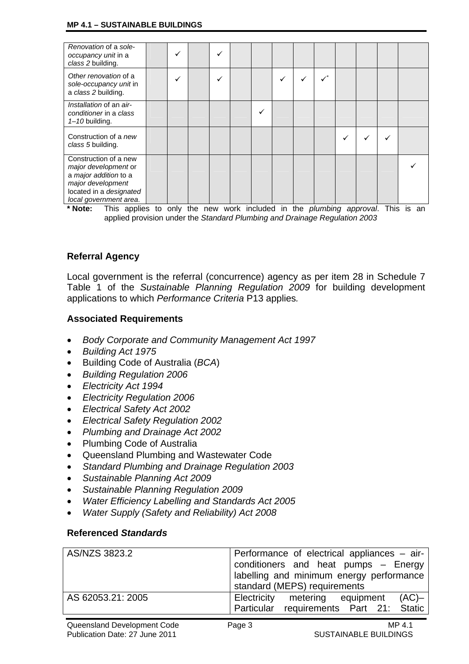#### **MP 4.1 – SUSTAINABLE BUILDINGS**

| Renovation of a sole-<br>occupancy unit in a<br>class 2 building.                                                                                |  |  |  |   |  |  |  |
|--------------------------------------------------------------------------------------------------------------------------------------------------|--|--|--|---|--|--|--|
| Other renovation of a<br>sole-occupancy unit in<br>a class 2 building.                                                                           |  |  |  | ✓ |  |  |  |
| Installation of an air-<br>conditioner in a class<br>$1 - 10$ building.                                                                          |  |  |  |   |  |  |  |
| Construction of a new<br>class 5 building.                                                                                                       |  |  |  |   |  |  |  |
| Construction of a new<br>major development or<br>a major addition to a<br>major development<br>located in a designated<br>local government area. |  |  |  |   |  |  |  |

**\* Note:** This applies to only the new work included in the *plumbing approval*. This is an applied provision under the *Standard Plumbing and Drainage Regulation 2003*

# **Referral Agency**

Local government is the referral (concurrence) agency as per item 28 in Schedule 7 Table 1 of the *Sustainable Planning Regulation 2009* for building development applications to which *Performance Criteria* P13 applies*.*

# **Associated Requirements**

- *Body Corporate and Community Management Act 1997*
- *Building Act 1975*
- Building Code of Australia (*BCA*)
- *Building Regulation 2006*
- *Electricity Act 1994*
- *Electricity Regulation 2006*
- *Electrical Safety Act 2002*
- *Electrical Safety Regulation 2002*
- *Plumbing and Drainage Act 2002*
- Plumbing Code of Australia
- Queensland Plumbing and Wastewater Code
- *Standard Plumbing and Drainage Regulation 2003*
- *Sustainable Planning Act 2009*
- *Sustainable Planning Regulation 2009*
- *Water Efficiency Labelling and Standards Act 2005*
- *Water Supply (Safety and Reliability) Act 2008*

#### **Referenced** *Standards*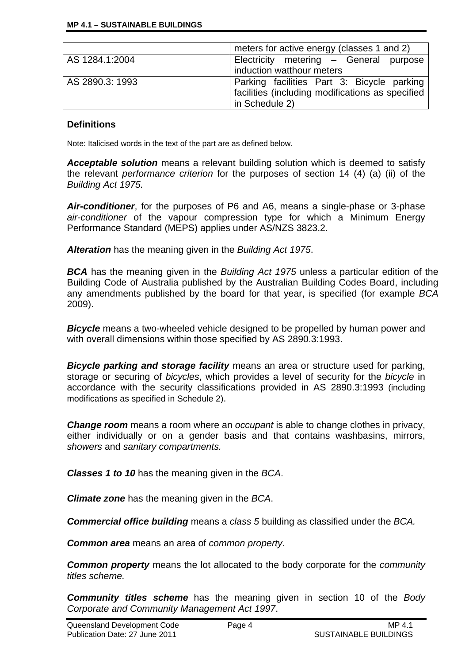|                 | meters for active energy (classes 1 and 2)       |  |  |  |  |  |  |  |
|-----------------|--------------------------------------------------|--|--|--|--|--|--|--|
| AS 1284.1:2004  | Electricity metering - General purpose           |  |  |  |  |  |  |  |
|                 | induction watthour meters                        |  |  |  |  |  |  |  |
| AS 2890.3: 1993 | Parking facilities Part 3: Bicycle parking       |  |  |  |  |  |  |  |
|                 | facilities (including modifications as specified |  |  |  |  |  |  |  |
|                 | in Schedule 2)                                   |  |  |  |  |  |  |  |

# **Definitions**

Note: Italicised words in the text of the part are as defined below.

*Acceptable solution* means a relevant building solution which is deemed to satisfy the relevant *performance criterion* for the purposes of section 14 (4) (a) (ii) of the *Building Act 1975.* 

*Air-conditioner*, for the purposes of P6 and A6, means a single-phase or 3-phase *air-conditioner* of the vapour compression type for which a Minimum Energy Performance Standard (MEPS) applies under AS/NZS 3823.2.

*Alteration* has the meaning given in the *Building Act 1975*.

*BCA* has the meaning given in the *Building Act 1975* unless a particular edition of the Building Code of Australia published by the Australian Building Codes Board, including any amendments published by the board for that year, is specified (for example *BCA*  2009).

**Bicycle** means a two-wheeled vehicle designed to be propelled by human power and with overall dimensions within those specified by AS 2890.3:1993.

*Bicycle parking and storage facility* means an area or structure used for parking, storage or securing of *bicycles*, which provides a level of security for the *bicycle* in accordance with the security classifications provided in AS 2890.3:1993 (including modifications as specified in Schedule 2).

**Change room** means a room where an *occupant* is able to change clothes in privacy, either individually or on a gender basis and that contains washbasins, mirrors, *showers* and *sanitary compartments.*

*Classes 1 to 10* has the meaning given in the *BCA*.

*Climate zone* has the meaning given in the *BCA*.

*Commercial office building* means a *class 5* building as classified under the *BCA.* 

*Common area* means an area of *common property*.

*Common property* means the lot allocated to the body corporate for the *community titles scheme.* 

*Community titles scheme* has the meaning given in section 10 of the *Body Corporate and Community Management Act 1997*.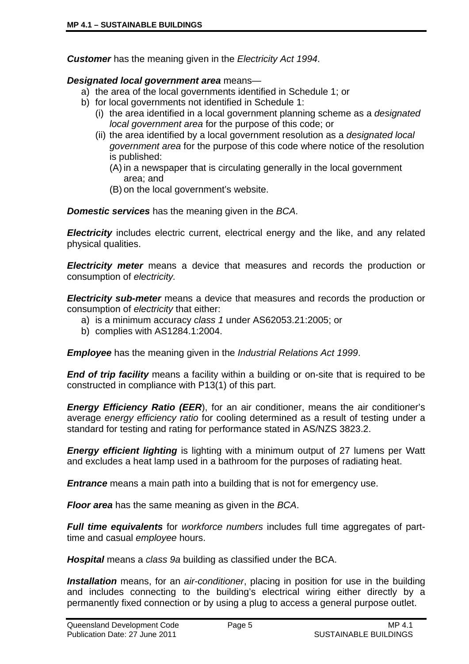*Customer* has the meaning given in the *Electricity Act 1994*.

#### *Designated local government area* means—

- a) the area of the local governments identified in Schedule 1; or
- b) for local governments not identified in Schedule 1:
	- (i) the area identified in a local government planning scheme as a *designated local government area* for the purpose of this code; or
	- (ii) the area identified by a local government resolution as a *designated local government area* for the purpose of this code where notice of the resolution is published:
		- (A) in a newspaper that is circulating generally in the local government area; and
		- (B) on the local government's website.

*Domestic services* has the meaning given in the *BCA*.

**Electricity** includes electric current, electrical energy and the like, and any related physical qualities.

*Electricity meter* means a device that measures and records the production or consumption of *electricity.*

*Electricity sub-meter* means a device that measures and records the production or consumption of *electricity* that either:

- a) is a minimum accuracy *class 1* under AS62053.21:2005; or
- b) complies with AS1284.1:2004.

*Employee* has the meaning given in the *Industrial Relations Act 1999*.

*End of trip facility* means a facility within a building or on-site that is required to be constructed in compliance with P13(1) of this part.

*Energy Efficiency Ratio (EER*), for an air conditioner, means the air conditioner's average *energy efficiency ratio* for cooling determined as a result of testing under a standard for testing and rating for performance stated in AS/NZS 3823.2.

*Energy efficient lighting* is lighting with a minimum output of 27 lumens per Watt and excludes a heat lamp used in a bathroom for the purposes of radiating heat.

*Entrance* means a main path into a building that is not for emergency use.

*Floor area* has the same meaning as given in the *BCA*.

*Full time equivalents* for *workforce numbers* includes full time aggregates of parttime and casual *employee* hours.

*Hospital* means a *class 9a* building as classified under the BCA.

*Installation* means, for an *air-conditioner*, placing in position for use in the building and includes connecting to the building's electrical wiring either directly by a permanently fixed connection or by using a plug to access a general purpose outlet.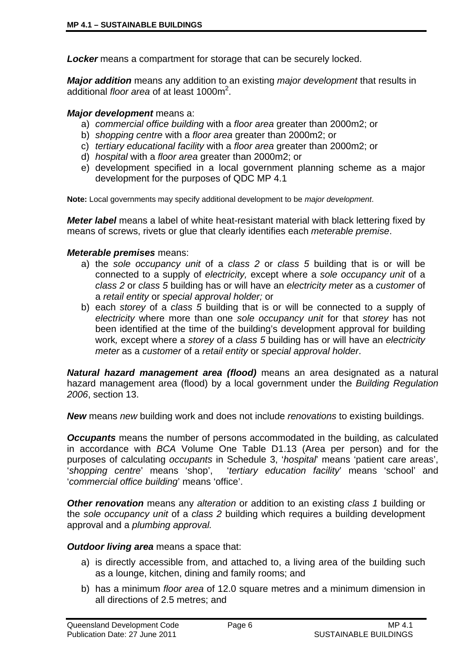*Locker* means a compartment for storage that can be securely locked.

*Major addition* means any addition to an existing *major development* that results in additional *floor area* of at least 1000m<sup>2</sup>.

#### *Major development* means a:

- a) *commercial office building* with a *floor area* greater than 2000m2; or
- b) *shopping centre* with a *floor area* greater than 2000m2; or
- c) *tertiary educational facility* with a *floor area* greater than 2000m2; or
- d) *hospital* with a *floor area* greater than 2000m2; or
- e) development specified in a local government planning scheme as a major development for the purposes of QDC MP 4.1

**Note:** Local governments may specify additional development to be *major development*.

*Meter label* means a label of white heat-resistant material with black lettering fixed by means of screws, rivets or glue that clearly identifies each *meterable premise*.

#### *Meterable premises* means:

- a) the *sole occupancy unit* of a *class 2* or *class 5* building that is or will be connected to a supply of *electricity,* except where a *sole occupancy unit* of a *class 2* or *class 5* building has or will have an *electricity meter* as a *customer* of a *retail entity* or *special approval holder;* or
- b) each *storey* of a *class 5* building that is or will be connected to a supply of *electricity* where more than one *sole occupancy unit* for that *storey* has not been identified at the time of the building's development approval for building work*,* except where a *storey* of a *class 5* building has or will have an *electricity meter* as a *customer* of a *retail entity* or *special approval holder*.

*Natural hazard management area (flood)* means an area designated as a natural hazard management area (flood) by a local government under the *Building Regulation 2006*, section 13.

*New* means *new* building work and does not include *renovations* to existing buildings.

*Occupants* means the number of persons accommodated in the building, as calculated in accordance with *BCA* Volume One Table D1.13 (Area per person) and for the purposes of calculating *occupants* in Schedule 3, '*hospital*' means 'patient care areas', '*shopping centre*' means 'shop', '*tertiary education facility*' means 'school' and '*commercial office building*' means 'office'.

*Other renovation* means any *alteration* or addition to an existing *class 1* building or the *sole occupancy unit* of a *class 2* building which requires a building development approval and a *plumbing approval.*

*Outdoor living area* means a space that:

- a) is directly accessible from, and attached to, a living area of the building such as a lounge, kitchen, dining and family rooms; and
- b) has a minimum *floor area* of 12.0 square metres and a minimum dimension in all directions of 2.5 metres; and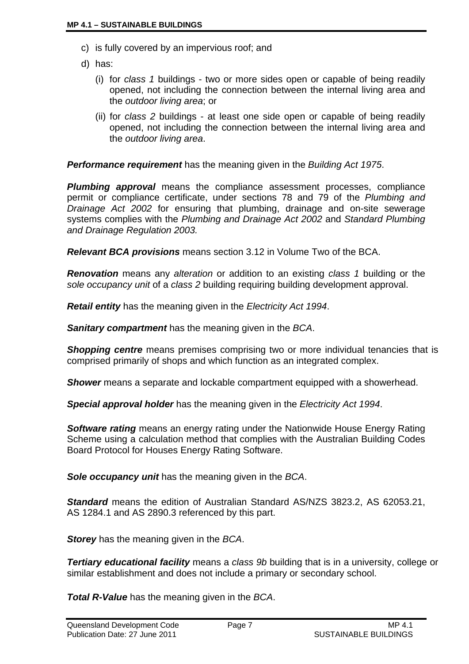- c) is fully covered by an impervious roof; and
- d) has:
	- (i) for *class 1* buildings two or more sides open or capable of being readily opened, not including the connection between the internal living area and the *outdoor living area*; or
	- (ii) for *class 2* buildings at least one side open or capable of being readily opened, not including the connection between the internal living area and the *outdoor living area*.

*Performance requirement* has the meaning given in the *Building Act 1975*.

**Plumbing approval** means the compliance assessment processes, compliance permit or compliance certificate, under sections 78 and 79 of the *Plumbing and Drainage Act 2002* for ensuring that plumbing, drainage and on-site sewerage systems complies with the *Plumbing and Drainage Act 2002* and *Standard Plumbing and Drainage Regulation 2003.*

*Relevant BCA provisions* means section 3.12 in Volume Two of the BCA.

*Renovation* means any *alteration* or addition to an existing *class 1* building or the *sole occupancy unit* of a *class 2* building requiring building development approval.

*Retail entity* has the meaning given in the *Electricity Act 1994*.

*Sanitary compartment* has the meaning given in the *BCA*.

**Shopping centre** means premises comprising two or more individual tenancies that is comprised primarily of shops and which function as an integrated complex.

**Shower** means a separate and lockable compartment equipped with a showerhead.

*Special approval holder* has the meaning given in the *Electricity Act 1994*.

*Software rating* means an energy rating under the Nationwide House Energy Rating Scheme using a calculation method that complies with the Australian Building Codes Board Protocol for Houses Energy Rating Software.

*Sole occupancy unit* has the meaning given in the *BCA*.

*Standard* means the edition of Australian Standard AS/NZS 3823.2, AS 62053.21, AS 1284.1 and AS 2890.3 referenced by this part.

*Storey* has the meaning given in the *BCA*.

**Tertiary educational facility** means a class 9b building that is in a university, college or similar establishment and does not include a primary or secondary school.

*Total R-Value* has the meaning given in the *BCA*.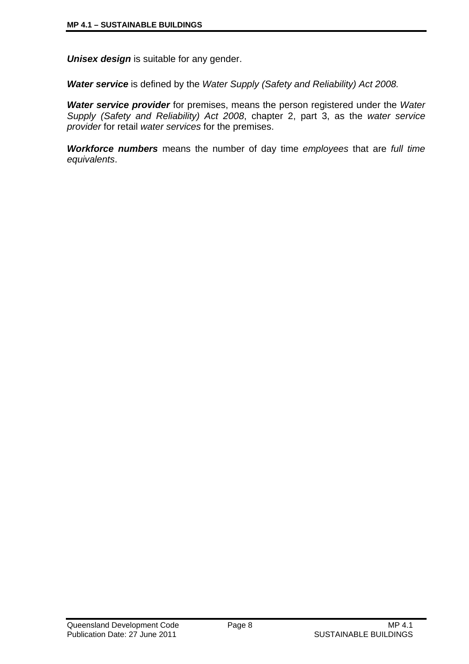*Unisex design* is suitable for any gender.

*Water service* is defined by the *Water Supply (Safety and Reliability) Act 2008.* 

*Water service provider* for premises, means the person registered under the *Water Supply (Safety and Reliability) Act 2008*, chapter 2, part 3, as the *water service provider* for retail *water services* for the premises.

*Workforce numbers* means the number of day time *employees* that are *full time equivalents*.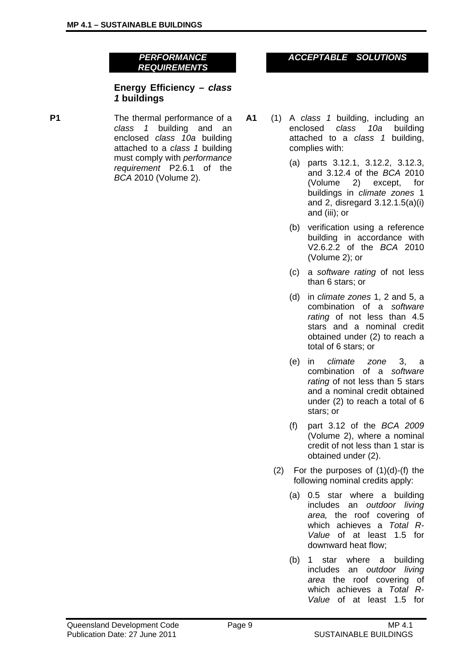*PERFORMANCE REQUIREMENTS* 

#### **Energy Efficiency –** *class 1* **buildings**

**P1** The thermal performance of a *class 1* building and an enclosed *class 10a* building attached to a *class 1* building must comply with *performance requirement* P2.6.1 of the *BCA* 2010 (Volume 2).

### *ACCEPTABLE SOLUTIONS*

- **A1** (1) A *class 1* building, including an enclosed *class 10a* building attached to a *class 1* building, complies with:
	- (a) parts 3.12.1, 3.12.2, 3.12.3, and 3.12.4 of the *BCA* 2010 (Volume 2) except, for buildings in *climate zones* 1 and 2, disregard 3.12.1.5(a)(i) and (iii); or
	- (b) verification using a reference building in accordance with V2.6.2.2 of the *BCA* 2010 (Volume 2); or
	- (c) a *software rating* of not less than 6 stars; or
	- (d) in *climate zones* 1, 2 and 5, a combination of a *software rating* of not less than 4.5 stars and a nominal credit obtained under (2) to reach a total of 6 stars; or
	- (e) in *climate zone* 3, a combination of a *software rating* of not less than 5 stars and a nominal credit obtained under (2) to reach a total of 6 stars; or
	- (f) part 3.12 of the *BCA 2009* (Volume 2), where a nominal credit of not less than 1 star is obtained under (2).
	- $(2)$  For the purposes of  $(1)(d)-(f)$  the following nominal credits apply:
		- (a) 0.5 star where a building includes an *outdoor living area,* the roof covering of which achieves a *Total R-Value* of at least 1.5 for downward heat flow;
		- (b) 1 star where a building includes an *outdoor living area* the roof covering of which achieves a *Total R-Value* of at least 1.5 for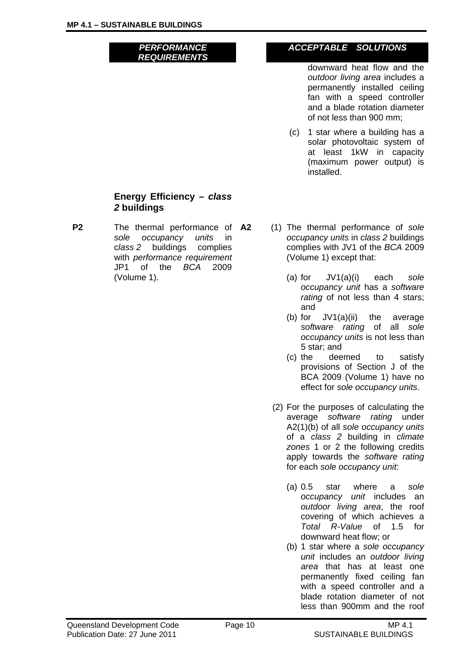*PERFORMANCE REQUIREMENTS* 

# *ACCEPTABLE SOLUTIONS*

downward heat flow and the *outdoor living area* includes a permanently installed ceiling fan with a speed controller and a blade rotation diameter of not less than 900 mm;

(c) 1 star where a building has a solar photovoltaic system of at least 1kW in capacity (maximum power output) is installed.

#### **Energy Efficiency –** *class 2* **buildings**

- **P2** The thermal performance of A2 *sole occupancy units* in c*lass 2* buildings complies with *performance requirement* JP1 of the *BCA* 2009 (Volume 1).
- **A2** (1) The thermal performance of *sole occupancy units* in *class 2* buildings complies with JV1 of the *BCA* 2009 (Volume 1) except that:
	- (a) for JV1(a)(i) each *sole occupancy unit* has a *software*  rating of not less than 4 stars; and
	- (b) for JV1(a)(ii) the average *software rating* of all *sole occupancy units* is not less than 5 star; and
	- (c) the deemed to satisfy provisions of Section J of the BCA 2009 (Volume 1) have no effect for *sole occupancy units*.
	- (2) For the purposes of calculating the average *software rating* under A2(1)(b) of all *sole occupancy units* of a *class 2* building in *climate zones* 1 or 2 the following credits apply towards the *software rating* for each *sole occupancy unit*:
		- (a) 0.5 star where a *sole occupancy unit* includes an *outdoor living area*, the roof covering of which achieves a *Total R-Value* of 1.5 for downward heat flow; or
		- (b) 1 star where a *sole occupancy unit* includes an *outdoor living area* that has at least one permanently fixed ceiling fan with a speed controller and a blade rotation diameter of not less than 900mm and the roof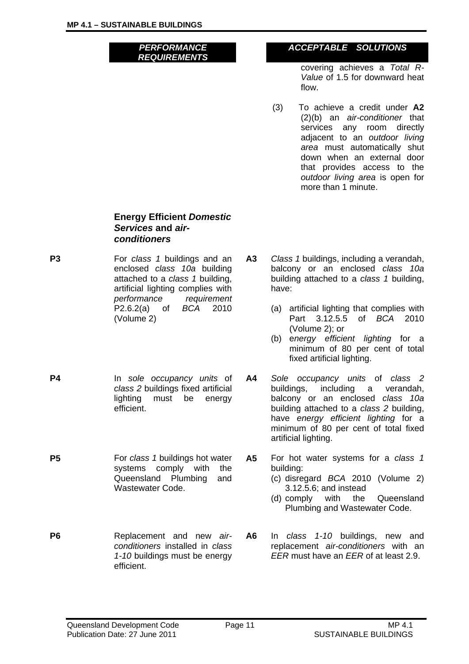*PERFORMANCE REQUIREMENTS* 

## *ACCEPTABLE SOLUTIONS*

covering achieves a *Total R-Value* of 1.5 for downward heat flow.

(3) To achieve a credit under **A2**  (2)(b) an *air-conditioner* that services any room directly adjacent to an *outdoor living area* must automatically shut down when an external door that provides access to the *outdoor living area* is open for more than 1 minute.

#### **Energy Efficient** *Domestic Services* **and** *airconditioners*

- **P3 For** *class 1* **buildings and an** enclosed *class 10a* building attached to a *class 1* building, artificial lighting complies with *performance requirement* P2.6.2(a) of *BCA* 2010 (Volume 2)
- **P4** In *sole occupancy units* of *class 2* buildings fixed artificial lighting must be energy efficient.
- **P5** For *class 1* buildings hot water systems comply with the Queensland Plumbing and Wastewater Code.
- **P6 Replacement** and new *airconditioners* installed in *class 1-10* buildings must be energy efficient.
- **A3** *Class 1* buildings, including a verandah, balcony or an enclosed *class 10a* building attached to a *class 1* building, have:
	- (a) artificial lighting that complies with Part 3.12.5.5 of *BCA* 2010 (Volume 2); or
	- (b) e*nergy efficient lighting* for a minimum of 80 per cent of total fixed artificial lighting.
- **A4** *Sole occupancy units* of *class 2*  buildings, including a verandah, balcony or an enclosed *class 10a* building attached to a *class 2* building, have *energy efficient lighting* for a minimum of 80 per cent of total fixed artificial lighting.
- **A5** For hot water systems for a *class 1* building:
	- (c) disregard *BCA* 2010 (Volume 2) 3.12.5.6; and instead
	- (d) comply with the Queensland Plumbing and Wastewater Code.
- **A6** In *class 1-10* buildings, new and replacement *air-conditioners* with an *EER* must have an *EER* of at least 2.9.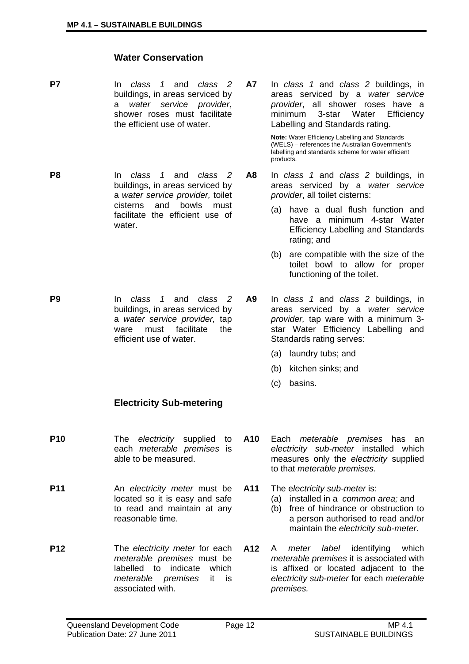#### **Water Conservation**

- **P7** In *class 1* and *class 2*  buildings, in areas serviced by a *water service provider*, shower roses must facilitate the efficient use of water.
- **P8** In *class 1* and *class 2*  buildings, in areas serviced by a *water service provider,* toilet cisterns and bowls must facilitate the efficient use of water.
- **P9** In *class 1* and *class 2*  buildings, in areas serviced by a *water service provider,* tap ware must facilitate the efficient use of water.
	- **Electricity Sub-metering**
- **P10** The *electricity* supplied to each *meterable premises* is able to be measured.
- **P11** An *electricity meter* must be located so it is easy and safe to read and maintain at any reasonable time.
- **P12** The *electricity meter* for each *meterable premises* must be labelled to indicate which *meterable premises* it is associated with.

**A7** In *class 1* and *class 2* buildings, in areas serviced by a *water service provider*, all shower roses have a minimum 3-star Water Efficiency Labelling and Standards rating.

> **Note:** Water Efficiency Labelling and Standards (WELS) – references the Australian Government's labelling and standards scheme for water efficient products.

- **A8** In *class 1* and *class 2* buildings, in areas serviced by a *water service provider*, all toilet cisterns:
	- (a) have a dual flush function and have a minimum 4-star Water Efficiency Labelling and Standards rating; and
	- (b) are compatible with the size of the toilet bowl to allow for proper functioning of the toilet.
- **A9** In *class 1* and *class 2* buildings, in areas serviced by a *water service provider,* tap ware with a minimum 3 star Water Efficiency Labelling and Standards rating serves:
	- (a) laundry tubs; and
	- (b) kitchen sinks; and
	- (c) basins.
- **A10** Each *meterable premises* has an *electricity sub-meter* installed which measures only the *electricity* supplied to that *meterable premises.*
- **A11** The e*lectricity sub-meter* is:
	- (a) installed in a *common area;* and
	- (b) free of hindrance or obstruction to a person authorised to read and/or maintain the *electricity sub-meter.*
- **A12** A *meter label* identifying which *meterable premises* it is associated with is affixed or located adjacent to the *electricity sub-meter* for each *meterable premises.*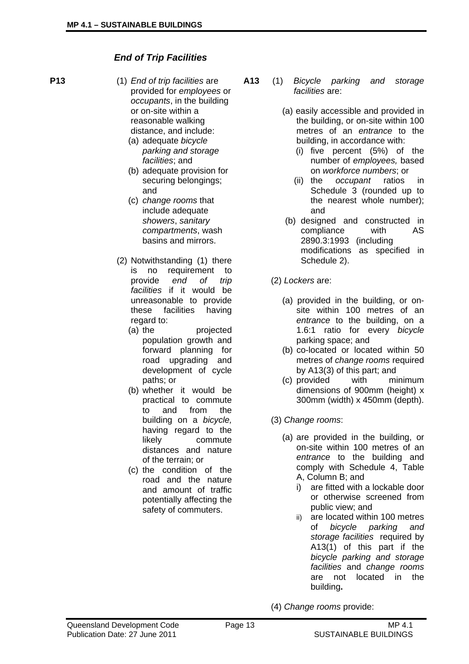# *End of Trip Facilities*

- 
- **P13** (1) *End of trip facilities* are provided for *employees* or *occupants*, in the building or on-site within a reasonable walking distance, and include:
	- (a) adequate *bicycle parking and storage facilities*; and
	- (b) adequate provision for securing belongings; and
	- (c) *change rooms* that include adequate *showers*, *sanitary compartments*, wash basins and mirrors.
	- (2) Notwithstanding (1) there is no requirement to provide *end of trip facilities* if it would be unreasonable to provide these facilities having regard to:
		- (a) the projected population growth and forward planning for road upgrading and development of cycle paths; or
		- (b) whether it would be practical to commute to and from the building on a *bicycle,*  having regard to the likely commute distances and nature of the terrain; or
		- (c) the condition of the road and the nature and amount of traffic potentially affecting the safety of commuters.
- **A13** (1) *Bicycle parking and storage facilities* are:
	- (a) easily accessible and provided in the building, or on-site within 100 metres of an *entrance* to the building, in accordance with:
		- (i) five percent (5%) of the number of *employees,* based on *workforce numbers*; or
		- (ii) the *occupant* ratios in Schedule 3 (rounded up to the nearest whole number); and
	- (b) designed and constructed in compliance with AS 2890.3:1993 (including modifications as specified in Schedule 2).
	- (2) *Lockers* are:
		- (a) provided in the building, or onsite within 100 metres of an *entrance* to the building, on a 1.6:1 ratio for every *bicycle* parking space; and
		- (b) co-located or located within 50 metres of *change rooms* required by A13(3) of this part; and
		- (c) provided with minimum dimensions of 900mm (height) x 300mm (width) x 450mm (depth).
	- (3) *Change rooms*:
		- (a) are provided in the building, or on-site within 100 metres of an *entrance* to the building and comply with Schedule 4, Table A, Column B; and
			- i) are fitted with a lockable door or otherwise screened from public view; and
			- ii) are located within 100 metres of *bicycle parking and storage facilities* required by A13(1) of this part if the *bicycle parking and storage facilities* and *change rooms* are not located in the building**.**
	- (4) *Change rooms* provide: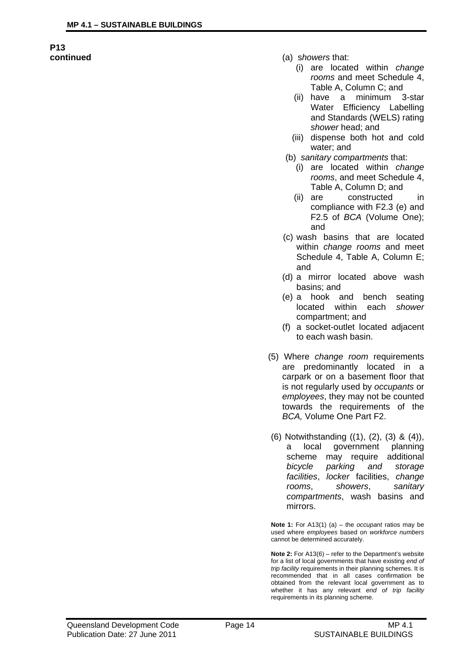# **P13**

- **continued** (a) s*howers* that:
	- (i) are located within *change rooms* and meet Schedule 4, Table A, Column C; and
	- (ii) have a minimum 3-star Water Efficiency Labelling and Standards (WELS) rating *shower* head; and
	- (iii) dispense both hot and cold water; and
	- (b) *sanitary compartments* that:
		- (i) are located within *change rooms*, and meet Schedule 4, Table A, Column D; and
		- (ii) are constructed in compliance with F2.3 (e) and F2.5 of *BCA* (Volume One); and
	- (c) wash basins that are located within *change rooms* and meet Schedule 4, Table A, Column E; and
	- (d) a mirror located above wash basins; and
	- (e) a hook and bench seating located within each *shower* compartment; and
	- (f) a socket-outlet located adjacent to each wash basin.
	- (5) Where *change room* requirements are predominantly located in a carpark or on a basement floor that is not regularly used by *occupants* or *employees*, they may not be counted towards the requirements of the *BCA,* Volume One Part F2.
	- (6) Notwithstanding ((1), (2), (3) & (4)), a local government planning scheme may require additional *bicycle parking and storage facilities*, *locker* facilities, *change rooms*, *showers*, *sanitary compartments*, wash basins and mirrors.

**Note 1:** For A13(1) (a) – the *occupant* ratios may be used where *employees* based on *workforce numbers* cannot be determined accurately.

**Note 2:** For A13(6) – refer to the Department's website for a list of local governments that have existing *end of trip facility* requirements in their planning schemes. It is recommended that in all cases confirmation be obtained from the relevant local government as to whether it has any relevant *end of trip facility* requirements in its planning scheme.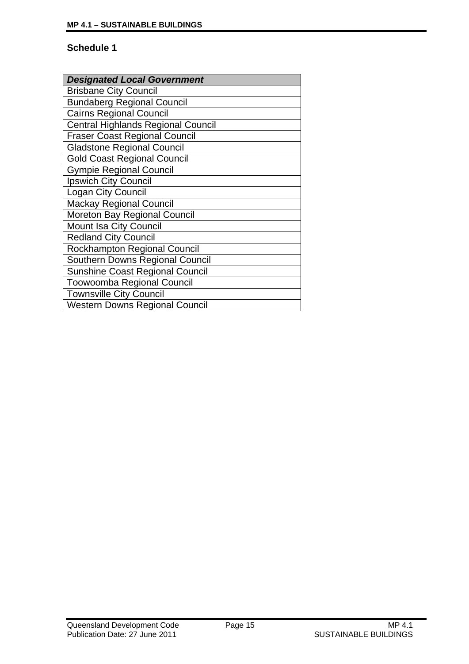| <b>Designated Local Government</b>        |
|-------------------------------------------|
| <b>Brisbane City Council</b>              |
| <b>Bundaberg Regional Council</b>         |
| <b>Cairns Regional Council</b>            |
| <b>Central Highlands Regional Council</b> |
| <b>Fraser Coast Regional Council</b>      |
| <b>Gladstone Regional Council</b>         |
| <b>Gold Coast Regional Council</b>        |
| <b>Gympie Regional Council</b>            |
| Ipswich City Council                      |
| Logan City Council                        |
| <b>Mackay Regional Council</b>            |
| Moreton Bay Regional Council              |
| Mount Isa City Council                    |
| <b>Redland City Council</b>               |
| <b>Rockhampton Regional Council</b>       |
| Southern Downs Regional Council           |
| <b>Sunshine Coast Regional Council</b>    |
| <b>Toowoomba Regional Council</b>         |
| <b>Townsville City Council</b>            |
| <b>Western Downs Regional Council</b>     |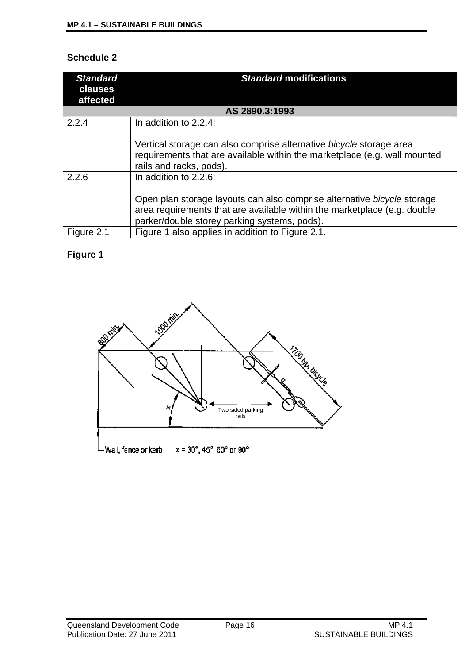| <b>Standard</b><br>clauses<br>affected | <b>Standard modifications</b>                                                                                                                                                |
|----------------------------------------|------------------------------------------------------------------------------------------------------------------------------------------------------------------------------|
|                                        | AS 2890.3:1993                                                                                                                                                               |
| 2.2.4                                  | In addition to 2.2.4:                                                                                                                                                        |
|                                        | Vertical storage can also comprise alternative bicycle storage area<br>requirements that are available within the marketplace (e.g. wall mounted<br>rails and racks, pods).  |
| 2.2.6                                  | In addition to 2.2.6:<br>Open plan storage layouts can also comprise alternative bicycle storage<br>area requirements that are available within the marketplace (e.g. double |
|                                        | parker/double storey parking systems, pods).                                                                                                                                 |
| Figure 2.1                             | Figure 1 also applies in addition to Figure 2.1.                                                                                                                             |

# **Figure 1**

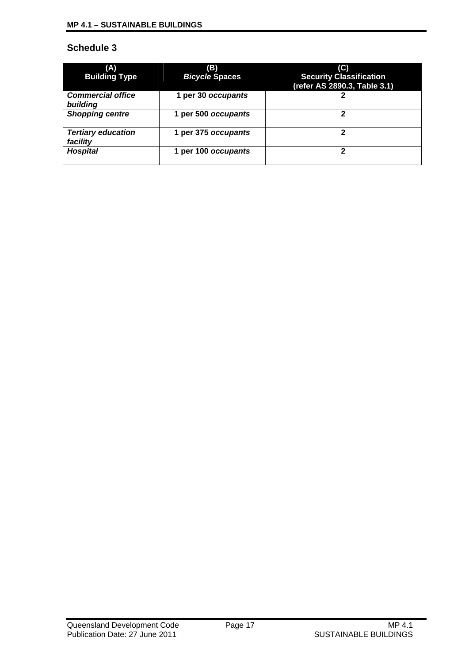| (A)<br><b>Building Type</b>           | (B)<br><b>Bicycle Spaces</b> | (C)<br><b>Security Classification</b><br>(refer AS 2890.3, Table 3.1) |
|---------------------------------------|------------------------------|-----------------------------------------------------------------------|
| <b>Commercial office</b><br>building  | 1 per 30 occupants           |                                                                       |
| <b>Shopping centre</b>                | 1 per 500 occupants          | 2                                                                     |
| <b>Tertiary education</b><br>facility | 1 per 375 occupants          | 2                                                                     |
| <b>Hospital</b>                       | 1 per 100 occupants          | າ                                                                     |